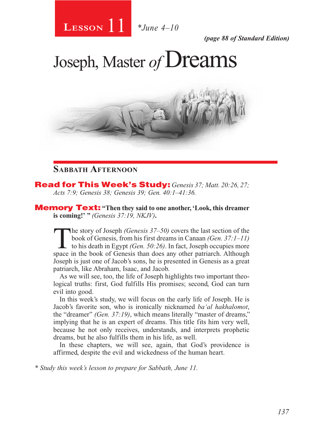

*(page 88 of Standard Edition)*

# Joseph, Master of **Dreams**



# **Sabbath Afternoon**

Read for This Week's Study: *Genesis 37; Matt. 20:26, 27; Acts 7:9; Genesis 38; Genesis 39; Gen. 40:1–41:36.*

Memory Text: **"Then they said to one another, 'Look, this dreamer is coming!' "** *(Genesis 37:19, NKJV)***.**

The story of Joseph *(Genesis 37–50)* covers the last section of the book of Genesis, from his first dreams in Canaan *(Gen. 37:1–11)* to his death in Egypt *(Gen. 50:26)*. In fact, Joseph occupies more space in the book o book of Genesis, from his first dreams in Canaan *(Gen. 37:1–11)*  space in the book of Genesis than does any other patriarch. Although Joseph is just one of Jacob's sons, he is presented in Genesis as a great patriarch, like Abraham, Isaac, and Jacob.

As we will see, too, the life of Joseph highlights two important theological truths: first, God fulfills His promises; second, God can turn evil into good.

In this week's study, we will focus on the early life of Joseph. He is Jacob's favorite son, who is ironically nicknamed *ba'al hakhalomot*, the "dreamer" *(Gen. 37:19)*, which means literally "master of dreams," implying that he is an expert of dreams. This title fits him very well, because he not only receives, understands, and interprets prophetic dreams, but he also fulfills them in his life, as well.

In these chapters, we will see, again, that God's providence is affirmed, despite the evil and wickedness of the human heart.

*\* Study this week's lesson to prepare for Sabbath, June 11.*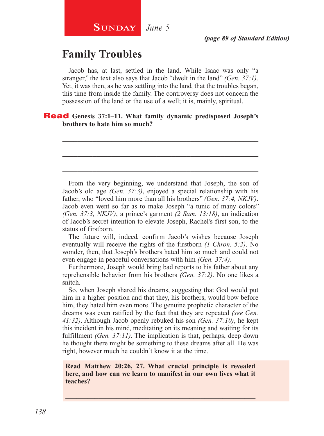# **Family Troubles**

Jacob has, at last, settled in the land. While Isaac was only "a stranger," the text also says that Jacob "dwelt in the land" *(Gen. 37:1)*. Yet, it was then, as he was settling into the land, that the troubles began, this time from inside the family. The controversy does not concern the possession of the land or the use of a well; it is, mainly, spiritual.

\_\_\_\_\_\_\_\_\_\_\_\_\_\_\_\_\_\_\_\_\_\_\_\_\_\_\_\_\_\_\_\_\_\_\_\_\_\_\_\_\_\_\_\_\_\_\_\_\_\_\_\_

\_\_\_\_\_\_\_\_\_\_\_\_\_\_\_\_\_\_\_\_\_\_\_\_\_\_\_\_\_\_\_\_\_\_\_\_\_\_\_\_\_\_\_\_\_\_\_\_\_\_\_\_

\_\_\_\_\_\_\_\_\_\_\_\_\_\_\_\_\_\_\_\_\_\_\_\_\_\_\_\_\_\_\_\_\_\_\_\_\_\_\_\_\_\_\_\_\_\_\_\_\_\_\_\_

### Read **Genesis 37:1–11. What family dynamic predisposed Joseph's brothers to hate him so much?**

From the very beginning, we understand that Joseph, the son of Jacob's old age *(Gen. 37:3)*, enjoyed a special relationship with his father, who "loved him more than all his brothers" *(Gen. 37:4, NKJV)*. Jacob even went so far as to make Joseph "a tunic of many colors" *(Gen. 37:3, NKJV)*, a prince's garment *(2 Sam. 13:18)*, an indication of Jacob's secret intention to elevate Joseph, Rachel's first son, to the status of firstborn.

The future will, indeed, confirm Jacob's wishes because Joseph eventually will receive the rights of the firstborn *(1 Chron. 5:2)*. No wonder, then, that Joseph's brothers hated him so much and could not even engage in peaceful conversations with him *(Gen. 37:4)*.

Furthermore, Joseph would bring bad reports to his father about any reprehensible behavior from his brothers *(Gen. 37:2)*. No one likes a snitch.

So, when Joseph shared his dreams, suggesting that God would put him in a higher position and that they, his brothers, would bow before him, they hated him even more. The genuine prophetic character of the dreams was even ratified by the fact that they are repeated *(see Gen. 41:32)*. Although Jacob openly rebuked his son *(Gen. 37:10)*, he kept this incident in his mind, meditating on its meaning and waiting for its fulfillment *(Gen. 37:11)*. The implication is that, perhaps, deep down he thought there might be something to these dreams after all. He was right, however much he couldn't know it at the time.

**Read Matthew 20:26, 27. What crucial principle is revealed here, and how can we learn to manifest in our own lives what it teaches?**

\_\_\_\_\_\_\_\_\_\_\_\_\_\_\_\_\_\_\_\_\_\_\_\_\_\_\_\_\_\_\_\_\_\_\_\_\_\_\_\_\_\_\_\_\_\_\_\_\_\_\_\_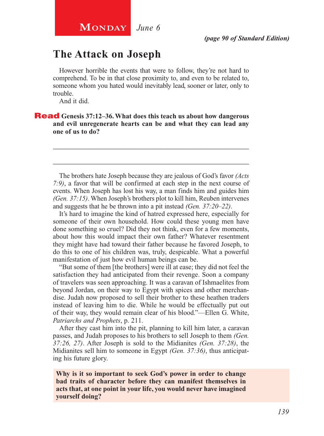# **The Attack on Joseph**

However horrible the events that were to follow, they're not hard to comprehend. To be in that close proximity to, and even to be related to, someone whom you hated would inevitably lead, sooner or later, only to trouble.

And it did.

Read **Genesis 37:12–36. What does this teach us about how dangerous and evil unregenerate hearts can be and what they can lead any one of us to do?**

The brothers hate Joseph because they are jealous of God's favor *(Acts 7:9)*, a favor that will be confirmed at each step in the next course of events. When Joseph has lost his way, a man finds him and guides him *(Gen. 37:15)*. When Joseph's brothers plot to kill him, Reuben intervenes and suggests that he be thrown into a pit instead *(Gen. 37:20–22)*.

\_\_\_\_\_\_\_\_\_\_\_\_\_\_\_\_\_\_\_\_\_\_\_\_\_\_\_\_\_\_\_\_\_\_\_\_\_\_\_\_\_\_\_\_\_\_\_\_\_\_\_\_

\_\_\_\_\_\_\_\_\_\_\_\_\_\_\_\_\_\_\_\_\_\_\_\_\_\_\_\_\_\_\_\_\_\_\_\_\_\_\_\_\_\_\_\_\_\_\_\_\_\_\_\_

It's hard to imagine the kind of hatred expressed here, especially for someone of their own household. How could these young men have done something so cruel? Did they not think, even for a few moments, about how this would impact their own father? Whatever resentment they might have had toward their father because he favored Joseph, to do this to one of his children was, truly, despicable. What a powerful manifestation of just how evil human beings can be.

"But some of them [the brothers] were ill at ease; they did not feel the satisfaction they had anticipated from their revenge. Soon a company of travelers was seen approaching. It was a caravan of Ishmaelites from beyond Jordan, on their way to Egypt with spices and other merchandise. Judah now proposed to sell their brother to these heathen traders instead of leaving him to die. While he would be effectually put out of their way, they would remain clear of his blood."—Ellen G. White, *Patriarchs and Prophets*, p. 211.

After they cast him into the pit, planning to kill him later, a caravan passes, and Judah proposes to his brothers to sell Joseph to them *(Gen. 37:26, 27)*. After Joseph is sold to the Midianites *(Gen. 37:28)*, the Midianites sell him to someone in Egypt *(Gen. 37:36)*, thus anticipating his future glory.

**Why is it so important to seek God's power in order to change bad traits of character before they can manifest themselves in acts that, at one point in your life, you would never have imagined yourself doing?**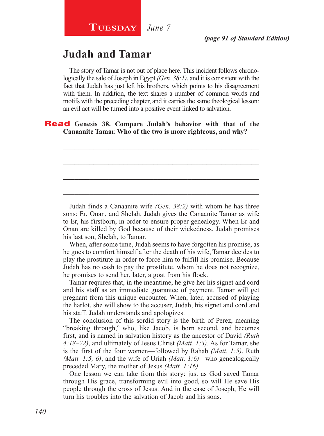# **Judah and Tamar**

The story of Tamar is not out of place here. This incident follows chronologically the sale of Joseph in Egypt *(Gen. 38:1)*, and it is consistent with the fact that Judah has just left his brothers, which points to his disagreement with them. In addition, the text shares a number of common words and motifs with the preceding chapter, and it carries the same theological lesson: an evil act will be turned into a positive event linked to salvation.

\_\_\_\_\_\_\_\_\_\_\_\_\_\_\_\_\_\_\_\_\_\_\_\_\_\_\_\_\_\_\_\_\_\_\_\_\_\_\_\_\_\_\_\_\_\_\_\_\_\_\_\_

\_\_\_\_\_\_\_\_\_\_\_\_\_\_\_\_\_\_\_\_\_\_\_\_\_\_\_\_\_\_\_\_\_\_\_\_\_\_\_\_\_\_\_\_\_\_\_\_\_\_\_\_

\_\_\_\_\_\_\_\_\_\_\_\_\_\_\_\_\_\_\_\_\_\_\_\_\_\_\_\_\_\_\_\_\_\_\_\_\_\_\_\_\_\_\_\_\_\_\_\_\_\_\_\_

\_\_\_\_\_\_\_\_\_\_\_\_\_\_\_\_\_\_\_\_\_\_\_\_\_\_\_\_\_\_\_\_\_\_\_\_\_\_\_\_\_\_\_\_\_\_\_\_\_\_\_\_

### Read **Genesis 38. Compare Judah's behavior with that of the Canaanite Tamar. Who of the two is more righteous, and why?**

Judah finds a Canaanite wife *(Gen. 38:2)* with whom he has three sons: Er, Onan, and Shelah. Judah gives the Canaanite Tamar as wife to Er, his firstborn, in order to ensure proper genealogy. When Er and Onan are killed by God because of their wickedness, Judah promises his last son, Shelah, to Tamar.

When, after some time, Judah seems to have forgotten his promise, as he goes to comfort himself after the death of his wife, Tamar decides to play the prostitute in order to force him to fulfill his promise. Because Judah has no cash to pay the prostitute, whom he does not recognize, he promises to send her, later, a goat from his flock.

Tamar requires that, in the meantime, he give her his signet and cord and his staff as an immediate guarantee of payment. Tamar will get pregnant from this unique encounter. When, later, accused of playing the harlot, she will show to the accuser, Judah, his signet and cord and his staff. Judah understands and apologizes.

The conclusion of this sordid story is the birth of Perez, meaning "breaking through," who, like Jacob, is born second, and becomes first, and is named in salvation history as the ancestor of David *(Ruth 4:18–22)*, and ultimately of Jesus Christ *(Matt. 1:3)*. As for Tamar, she is the first of the four women—followed by Rahab *(Matt. 1:5)*, Ruth *(Matt. 1:5, 6)*, and the wife of Uriah *(Matt. 1:6)—*who genealogically preceded Mary, the mother of Jesus *(Matt. 1:16)*.

One lesson we can take from this story: just as God saved Tamar through His grace, transforming evil into good, so will He save His people through the cross of Jesus. And in the case of Joseph, He will turn his troubles into the salvation of Jacob and his sons.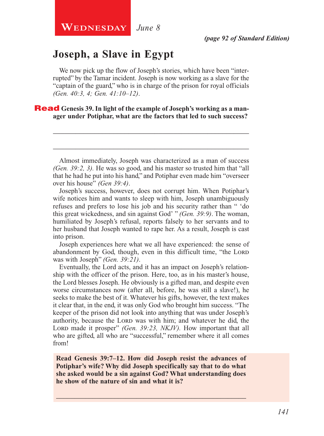**WEDNESDAY** June 8

# **Joseph, a Slave in Egypt**

We now pick up the flow of Joseph's stories, which have been "interrupted" by the Tamar incident. Joseph is now working as a slave for the "captain of the guard," who is in charge of the prison for royal officials *(Gen. 40:3, 4; Gen. 41:10–12)*.

### **Read** Genesis 39. In light of the example of Joseph's working as a man**ager under Potiphar, what are the factors that led to such success?**

Almost immediately, Joseph was characterized as a man of success *(Gen. 39:2, 3).* He was so good, and his master so trusted him that "all that he had he put into his hand," and Potiphar even made him "overseer over his house" *(Gen 39:4)*.

\_\_\_\_\_\_\_\_\_\_\_\_\_\_\_\_\_\_\_\_\_\_\_\_\_\_\_\_\_\_\_\_\_\_\_\_\_\_\_\_\_\_\_\_\_\_\_\_\_\_\_\_

\_\_\_\_\_\_\_\_\_\_\_\_\_\_\_\_\_\_\_\_\_\_\_\_\_\_\_\_\_\_\_\_\_\_\_\_\_\_\_\_\_\_\_\_\_\_\_\_\_\_\_\_

Joseph's success, however, does not corrupt him. When Potiphar's wife notices him and wants to sleep with him, Joseph unambiguously refuses and prefers to lose his job and his security rather than " 'do this great wickedness, and sin against God' " *(Gen. 39:9)*. The woman, humiliated by Joseph's refusal, reports falsely to her servants and to her husband that Joseph wanted to rape her. As a result, Joseph is cast into prison.

Joseph experiences here what we all have experienced: the sense of abandonment by God, though, even in this difficult time, "the LORD was with Joseph" *(Gen. 39:21)*.

Eventually, the Lord acts, and it has an impact on Joseph's relationship with the officer of the prison. Here, too, as in his master's house, the Lord blesses Joseph. He obviously is a gifted man, and despite even worse circumstances now (after all, before, he was still a slave!), he seeks to make the best of it. Whatever his gifts, however, the text makes it clear that, in the end, it was only God who brought him success. "The keeper of the prison did not look into anything that was under Joseph's authority, because the LORD was with him; and whatever he did, the Lord made it prosper" (Gen. 39:23, NKJV). How important that all who are gifted, all who are "successful," remember where it all comes from!

**Read Genesis 39:7–12. How did Joseph resist the advances of Potiphar's wife? Why did Joseph specifically say that to do what she asked would be a sin against God? What understanding does he show of the nature of sin and what it is?**

\_\_\_\_\_\_\_\_\_\_\_\_\_\_\_\_\_\_\_\_\_\_\_\_\_\_\_\_\_\_\_\_\_\_\_\_\_\_\_\_\_\_\_\_\_\_\_\_\_\_\_\_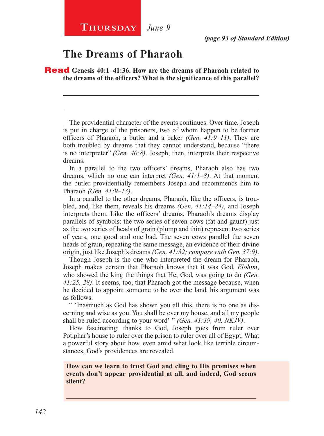# **The Dreams of Pharaoh**

Read **Genesis 40:1–41:36. How are the dreams of Pharaoh related to the dreams of the officers? What is the significance of this parallel?** 

The providential character of the events continues. Over time, Joseph is put in charge of the prisoners, two of whom happen to be former officers of Pharaoh, a butler and a baker *(Gen. 41:9–11)*. They are both troubled by dreams that they cannot understand, because "there is no interpreter" *(Gen. 40:8)*. Joseph, then, interprets their respective dreams.

\_\_\_\_\_\_\_\_\_\_\_\_\_\_\_\_\_\_\_\_\_\_\_\_\_\_\_\_\_\_\_\_\_\_\_\_\_\_\_\_\_\_\_\_\_\_\_\_\_\_\_\_

\_\_\_\_\_\_\_\_\_\_\_\_\_\_\_\_\_\_\_\_\_\_\_\_\_\_\_\_\_\_\_\_\_\_\_\_\_\_\_\_\_\_\_\_\_\_\_\_\_\_\_\_

In a parallel to the two officers' dreams, Pharaoh also has two dreams, which no one can interpret *(Gen. 41:1–8)*. At that moment the butler providentially remembers Joseph and recommends him to Pharaoh *(Gen. 41:9–13)*.

In a parallel to the other dreams, Pharaoh, like the officers, is troubled, and, like them, reveals his dreams *(Gen. 41:14–24)*, and Joseph interprets them. Like the officers' dreams, Pharaoh's dreams display parallels of symbols: the two series of seven cows (fat and gaunt) just as the two series of heads of grain (plump and thin) represent two series of years, one good and one bad. The seven cows parallel the seven heads of grain, repeating the same message, an evidence of their divine origin, just like Joseph's dreams *(Gen. 41:32; compare with Gen. 37:9)*.

Though Joseph is the one who interpreted the dream for Pharaoh, Joseph makes certain that Pharaoh knows that it was God, *Elohim*, who showed the king the things that He, God, was going to do *(Gen. 41:25, 28)*. It seems, too, that Pharaoh got the message because, when he decided to appoint someone to be over the land, his argument was as follows:

" 'Inasmuch as God has shown you all this, there is no one as discerning and wise as you. You shall be over my house, and all my people shall be ruled according to your word' " *(Gen. 41:39, 40, NKJV)*.

How fascinating: thanks to God, Joseph goes from ruler over Potiphar's house to ruler over the prison to ruler over all of Egypt. What a powerful story about how, even amid what look like terrible circumstances, God's providences are revealed.

### **How can we learn to trust God and cling to His promises when events don't appear providential at all, and indeed, God seems silent?**

\_\_\_\_\_\_\_\_\_\_\_\_\_\_\_\_\_\_\_\_\_\_\_\_\_\_\_\_\_\_\_\_\_\_\_\_\_\_\_\_\_\_\_\_\_\_\_\_\_\_\_\_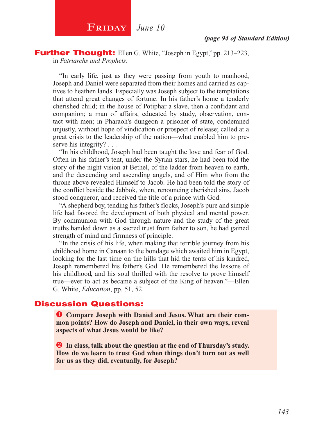

**Further Thought:** Ellen G. White, "Joseph in Egypt," pp. 213–223, in *Patriarchs and Prophets*.

"In early life, just as they were passing from youth to manhood, Joseph and Daniel were separated from their homes and carried as captives to heathen lands. Especially was Joseph subject to the temptations that attend great changes of fortune. In his father's home a tenderly cherished child; in the house of Potiphar a slave, then a confidant and companion; a man of affairs, educated by study, observation, contact with men; in Pharaoh's dungeon a prisoner of state, condemned unjustly, without hope of vindication or prospect of release; called at a great crisis to the leadership of the nation—what enabled him to preserve his integrity? . . .

"In his childhood, Joseph had been taught the love and fear of God. Often in his father's tent, under the Syrian stars, he had been told the story of the night vision at Bethel, of the ladder from heaven to earth, and the descending and ascending angels, and of Him who from the throne above revealed Himself to Jacob. He had been told the story of the conflict beside the Jabbok, when, renouncing cherished sins, Jacob stood conqueror, and received the title of a prince with God.

"A shepherd boy, tending his father's flocks, Joseph's pure and simple life had favored the development of both physical and mental power. By communion with God through nature and the study of the great truths handed down as a sacred trust from father to son, he had gained strength of mind and firmness of principle.

"In the crisis of his life, when making that terrible journey from his childhood home in Canaan to the bondage which awaited him in Egypt, looking for the last time on the hills that hid the tents of his kindred, Joseph remembered his father's God. He remembered the lessons of his childhood, and his soul thrilled with the resolve to prove himself true—ever to act as became a subject of the King of heaven."—Ellen G. White, *Education*, pp. 51, 52.

### Discussion Questions:

 **Compare Joseph with Daniel and Jesus. What are their common points? How do Joseph and Daniel, in their own ways, reveal aspects of what Jesus would be like?**

**2** In class, talk about the question at the end of Thursday's study. **How do we learn to trust God when things don't turn out as well for us as they did, eventually, for Joseph?**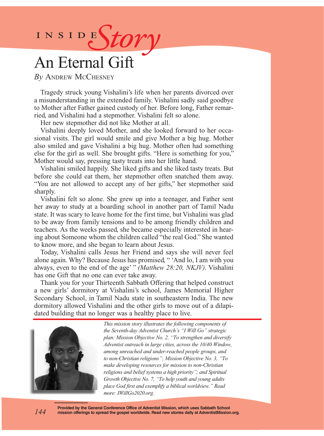# INSIDES*tory*

# An Eternal Gift

*By* Andrew McChesney

Tragedy struck young Vishalini's life when her parents divorced over a misunderstanding in the extended family. Vishalini sadly said goodbye to Mother after Father gained custody of her. Before long, Father remarried, and Vishalini had a stepmother. Vishalini felt so alone.

Her new stepmother did not like Mother at all.

Vishalini deeply loved Mother, and she looked forward to her occasional visits. The girl would smile and give Mother a big hug. Mother also smiled and gave Vishalini a big hug. Mother often had something else for the girl as well. She brought gifts. "Here is something for you," Mother would say, pressing tasty treats into her little hand.

Vishalini smiled happily. She liked gifts and she liked tasty treats. But before she could eat them, her stepmother often snatched them away. "You are not allowed to accept any of her gifts," her stepmother said sharply.

Vishalini felt so alone. She grew up into a teenager, and Father sent her away to study at a boarding school in another part of Tamil Nadu state. It was scary to leave home for the first time, but Vishalini was glad to be away from family tensions and to be among friendly children and teachers. As the weeks passed, she became especially interested in hearing about Someone whom the children called "the real God." She wanted to know more, and she began to learn about Jesus.

Today, Vishalini calls Jesus her Friend and says she will never feel alone again. Why? Because Jesus has promised, " 'And lo, I am with you always, even to the end of the age' " *(Matthew 28:20, NKJV)*. Vishalini has one Gift that no one can ever take away.

Thank you for your Thirteenth Sabbath Offering that helped construct a new girls' dormitory at Vishalini's school, James Memorial Higher Secondary School, in Tamil Nadu state in southeastern India. The new dormitory allowed Vishalini and the other girls to move out of a dilapidated building that no longer was a healthy place to live.



*144*

*This mission story illustrates the following components of the Seventh-day Adventist Church's "I Will Go" strategic plan: Mission Objective No. 2, "To strengthen and diversify Adventist outreach in large cities, across the 10/40 Window, among unreached and under-reached people groups, and to non-Christian religions"; Mission Objective No. 3, "To make developing resources for mission to non-Christian religions and belief systems a high priority"; and Spiritual Growth Objective No. 7, "To help youth and young adults place God first and exemplify a biblical worldview." Read more: IWillGo2020.org.*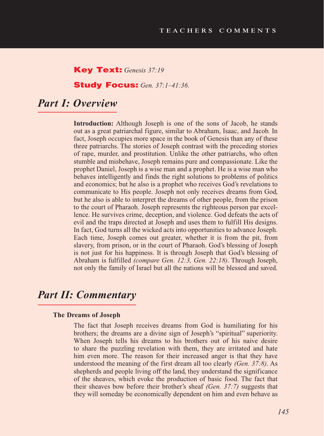### Key Text: *Genesis 37:19*

### Study Focus: *Gen. 37:1–41:36.*

## *Part I: Overview*

**Introduction:** Although Joseph is one of the sons of Jacob, he stands out as a great patriarchal figure, similar to Abraham, Isaac, and Jacob. In fact, Joseph occupies more space in the book of Genesis than any of these three patriarchs. The stories of Joseph contrast with the preceding stories of rape, murder, and prostitution. Unlike the other patriarchs, who often stumble and misbehave, Joseph remains pure and compassionate. Like the prophet Daniel, Joseph is a wise man and a prophet. He is a wise man who behaves intelligently and finds the right solutions to problems of politics and economics; but he also is a prophet who receives God's revelations to communicate to His people. Joseph not only receives dreams from God, but he also is able to interpret the dreams of other people, from the prison to the court of Pharaoh. Joseph represents the righteous person par excellence. He survives crime, deception, and violence. God defeats the acts of evil and the traps directed at Joseph and uses them to fulfill His designs. In fact, God turns all the wicked acts into opportunities to advance Joseph. Each time, Joseph comes out greater, whether it is from the pit, from slavery, from prison, or in the court of Pharaoh. God's blessing of Joseph is not just for his happiness. It is through Joseph that God's blessing of Abraham is fulfilled *(compare Gen. 12:3, Gen. 22:18)*. Through Joseph, not only the family of Israel but all the nations will be blessed and saved.

## *Part II: Commentary*

#### **The Dreams of Joseph**

The fact that Joseph receives dreams from God is humiliating for his brothers; the dreams are a divine sign of Joseph's "spiritual" superiority. When Joseph tells his dreams to his brothers out of his naive desire to share the puzzling revelation with them, they are irritated and hate him even more. The reason for their increased anger is that they have understood the meaning of the first dream all too clearly *(Gen. 37:8)*. As shepherds and people living off the land, they understand the significance of the sheaves, which evoke the production of basic food. The fact that their sheaves bow before their brother's sheaf *(Gen. 37:7)* suggests that they will someday be economically dependent on him and even behave as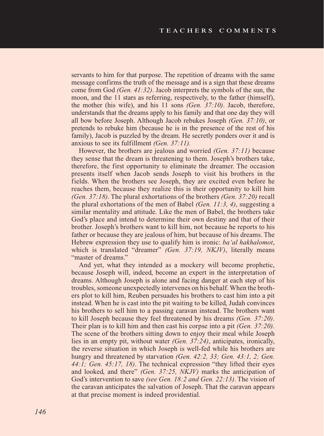servants to him for that purpose. The repetition of dreams with the same message confirms the truth of the message and is a sign that these dreams come from God *(Gen. 41:32)*. Jacob interprets the symbols of the sun, the moon, and the 11 stars as referring, respectively, to the father (himself), the mother (his wife), and his 11 sons *(Gen. 37:10)*. Jacob, therefore, understands that the dreams apply to his family and that one day they will all bow before Joseph. Although Jacob rebukes Joseph *(Gen. 37:10)*, or pretends to rebuke him (because he is in the presence of the rest of his family), Jacob is puzzled by the dream. He secretly ponders over it and is anxious to see its fulfillment *(Gen. 37:11).*

However, the brothers are jealous and worried *(Gen. 37:11)* because they sense that the dream is threatening to them. Joseph's brothers take, therefore, the first opportunity to eliminate the dreamer. The occasion presents itself when Jacob sends Joseph to visit his brothers in the fields. When the brothers see Joseph, they are excited even before he reaches them, because they realize this is their opportunity to kill him *(Gen. 37:18)*. The plural exhortations of the brothers *(Gen. 37:20)* recall the plural exhortations of the men of Babel *(Gen. 11:3, 4)*, suggesting a similar mentality and attitude. Like the men of Babel, the brothers take God's place and intend to determine their own destiny and that of their brother. Joseph's brothers want to kill him, not because he reports to his father or because they are jealous of him, but because of his dreams. The Hebrew expression they use to qualify him is ironic: *ba'al hakhalomot*, which is translated "dreamer" (Gen. 37:19, NKJV), literally means "master of dreams."

And yet, what they intended as a mockery will become prophetic, because Joseph will, indeed, become an expert in the interpretation of dreams. Although Joseph is alone and facing danger at each step of his troubles, someone unexpectedly intervenes on his behalf. When the brothers plot to kill him, Reuben persuades his brothers to cast him into a pit instead. When he is cast into the pit waiting to be killed, Judah convinces his brothers to sell him to a passing caravan instead. The brothers want to kill Joseph because they feel threatened by his dreams *(Gen. 37:20)*. Their plan is to kill him and then cast his corpse into a pit *(Gen. 37:20)*. The scene of the brothers sitting down to enjoy their meal while Joseph lies in an empty pit, without water *(Gen. 37:24)*, anticipates, ironically, the reverse situation in which Joseph is well-fed while his brothers are hungry and threatened by starvation *(Gen. 42:2, 33; Gen. 43:1, 2; Gen. 44:1; Gen. 45:17, 18)*. The technical expression "they lifted their eyes and looked, and there" *(Gen. 37:25, NKJV)* marks the anticipation of God's intervention to save *(see Gen. 18:2 and Gen. 22:13)*. The vision of the caravan anticipates the salvation of Joseph. That the caravan appears at that precise moment is indeed providential.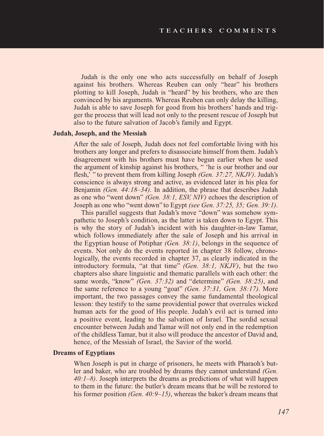Judah is the only one who acts successfully on behalf of Joseph against his brothers. Whereas Reuben can only "hear" his brothers plotting to kill Joseph, Judah is "heard" by his brothers, who are then convinced by his arguments. Whereas Reuben can only delay the killing, Judah is able to save Joseph for good from his brothers' hands and trigger the process that will lead not only to the present rescue of Joseph but also to the future salvation of Jacob's family and Egypt.

### **Judah, Joseph, and the Messiah**

After the sale of Joseph, Judah does not feel comfortable living with his brothers any longer and prefers to disassociate himself from them. Judah's disagreement with his brothers must have begun earlier when he used the argument of kinship against his brothers, " 'he is our brother and our flesh,' " to prevent them from killing Joseph *(Gen. 37:27, NKJV)*. Judah's conscience is always strong and active, as evidenced later in his plea for Benjamin *(Gen. 44:18–34)*. In addition, the phrase that describes Judah as one who "went down" *(Gen. 38:1, ESV, NIV)* echoes the description of Joseph as one who "went down" to Egypt *(see Gen. 37:25, 35; Gen. 39:1)*.

This parallel suggests that Judah's move "down" was somehow sympathetic to Joseph's condition, as the latter is taken down to Egypt. This is why the story of Judah's incident with his daughter-in-law Tamar, which follows immediately after the sale of Joseph and his arrival in the Egyptian house of Potiphar *(Gen. 38:1)*, belongs in the sequence of events. Not only do the events reported in chapter 38 follow, chronologically, the events recorded in chapter 37, as clearly indicated in the introductory formula, "at that time" *(Gen. 38:1, NKJV)*, but the two chapters also share linguistic and thematic parallels with each other: the same words, "know" *(Gen. 37:32)* and "determine" *(Gen. 38:25)*, and the same reference to a young "goat" *(Gen. 37:31, Gen. 38:17)*. More important, the two passages convey the same fundamental theological lesson: they testify to the same providential power that overrules wicked human acts for the good of His people. Judah's evil act is turned into a positive event, leading to the salvation of Israel. The sordid sexual encounter between Judah and Tamar will not only end in the redemption of the childless Tamar, but it also will produce the ancestor of David and, hence, of the Messiah of Israel, the Savior of the world.

### **Dreams of Egyptians**

When Joseph is put in charge of prisoners, he meets with Pharaoh's butler and baker, who are troubled by dreams they cannot understand *(Gen. 40:1–8)*. Joseph interprets the dreams as predictions of what will happen to them in the future: the butler's dream means that he will be restored to his former position *(Gen. 40:9–15)*, whereas the baker's dream means that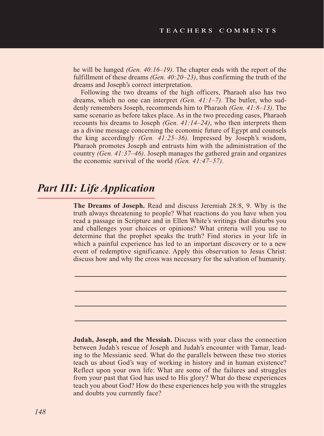he will be hanged *(Gen. 40:16–19)*. The chapter ends with the report of the fulfillment of these dreams *(Gen. 40:20–23)*, thus confirming the truth of the dreams and Joseph's correct interpretation.

Following the two dreams of the high officers, Pharaoh also has two dreams, which no one can interpret *(Gen. 41:1–7)*. The butler, who suddenly remembers Joseph, recommends him to Pharaoh *(Gen. 41:8–13)*. The same scenario as before takes place. As in the two preceding cases, Pharaoh recounts his dreams to Joseph *(Gen. 41:14–24)*, who then interprets them as a divine message concerning the economic future of Egypt and counsels the king accordingly *(Gen. 41:25–36)*. Impressed by Joseph's wisdom, Pharaoh promotes Joseph and entrusts him with the administration of the country *(Gen. 41:37–46)*. Joseph manages the gathered grain and organizes the economic survival of the world *(Gen. 41:47–57)*.

# *Part III: Life Application*

**The Dreams of Joseph.** Read and discuss Jeremiah 28:8, 9. Why is the truth always threatening to people? What reactions do you have when you read a passage in Scripture and in Ellen White's writings that disturbs you and challenges your choices or opinions? What criteria will you use to determine that the prophet speaks the truth? Find stories in your life in which a painful experience has led to an important discovery or to a new event of redemptive significance. Apply this observation to Jesus Christ: discuss how and why the cross was necessary for the salvation of humanity.

**Judah, Joseph, and the Messiah.** Discuss with your class the connection between Judah's rescue of Joseph and Judah's encounter with Tamar, leading to the Messianic seed. What do the parallels between these two stories teach us about God's way of working in history and in human existence? Reflect upon your own life: What are some of the failures and struggles from your past that God has used to His glory? What do these experiences teach you about God? How do these experiences help you with the struggles and doubts you currently face?